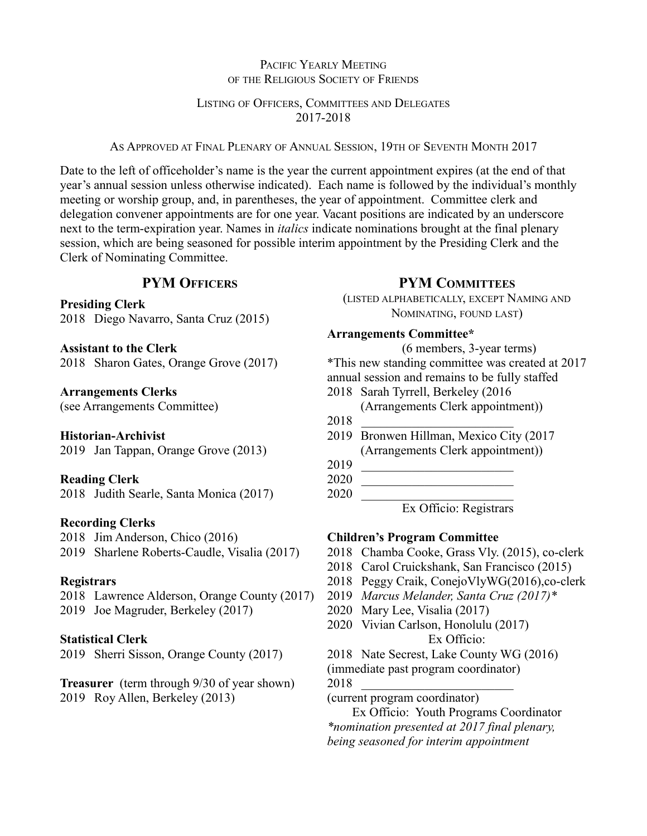## PACIFIC YEARLY MEETING OF THE RELIGIOUS SOCIETY OF FRIENDS

## LISTING OF OFFICERS, COMMITTEES AND DELEGATES 2017-2018

### AS APPROVED AT FINAL PLENARY OF ANNUAL SESSION, 19TH OF SEVENTH MONTH 2017

Date to the left of officeholder's name is the year the current appointment expires (at the end of that year's annual session unless otherwise indicated). Each name is followed by the individual's monthly meeting or worship group, and, in parentheses, the year of appointment. Committee clerk and delegation convener appointments are for one year. Vacant positions are indicated by an underscore next to the term-expiration year. Names in *italics* indicate nominations brought at the final plenary session, which are being seasoned for possible interim appointment by the Presiding Clerk and the Clerk of Nominating Committee.

## **PYM OFFICERS**

#### **Presiding Clerk**

2018 Diego Navarro, Santa Cruz (2015)

### **Assistant to the Clerk**

2018 Sharon Gates, Orange Grove (2017)

#### **Arrangements Clerks** (see Arrangements Committee)

# **Historian-Archivist**

2019 Jan Tappan, Orange Grove (2013)

## **Reading Clerk**

2018 Judith Searle, Santa Monica (2017)

## **Recording Clerks**

2018 Jim Anderson, Chico (2016) 2019 Sharlene Roberts-Caudle, Visalia (2017)

## **Registrars**

2018 Lawrence Alderson, Orange County (2017) 2019 Joe Magruder, Berkeley (2017)

## **Statistical Clerk**

2019 Sherri Sisson, Orange County (2017)

**Treasurer** (term through 9/30 of year shown) 2019 Roy Allen, Berkeley (2013)

## **PYM COMMITTEES**

(LISTED ALPHABETICALLY, EXCEPT NAMING AND NOMINATING, FOUND LAST)

#### **Arrangements Committee\***

(6 members, 3-year terms) \*This new standing committee was created at 2017 annual session and remains to be fully staffed

- 2018 Sarah Tyrrell, Berkeley (2016 (Arrangements Clerk appointment))
- 2018 \_\_\_\_\_\_\_\_\_\_\_\_\_\_\_\_\_\_\_\_\_\_\_\_
- 2019 Bronwen Hillman, Mexico City (2017 (Arrangements Clerk appointment))
- 2019 \_\_\_\_\_\_\_\_\_\_\_\_\_\_\_\_\_\_\_\_\_\_\_\_
- 2020 \_\_\_\_\_\_\_\_\_\_\_\_\_\_\_\_\_\_\_\_\_\_\_\_
- 2020 \_\_\_\_\_\_\_\_\_\_\_\_\_\_\_\_\_\_\_\_\_\_\_\_

# Ex Officio: Registrars

#### **Children's Program Committee**

- 2018 Chamba Cooke, Grass Vly. (2015), co-clerk
- 2018 Carol Cruickshank, San Francisco (2015)
- 2018 Peggy Craik, ConejoVlyWG(2016),co-clerk
- 2019 *Marcus Melander, Santa Cruz (2017)\**
- 2020 Mary Lee, Visalia (2017)
- 2020 Vivian Carlson, Honolulu (2017) Ex Officio:
- 2018 Nate Secrest, Lake County WG (2016)

(immediate past program coordinator) 2018 \_\_\_\_\_\_\_\_\_\_\_\_\_\_\_\_\_\_\_\_\_\_\_\_

(current program coordinator)

Ex Officio: Youth Programs Coordinator *\*nomination presented at 2017 final plenary, being seasoned for interim appointment*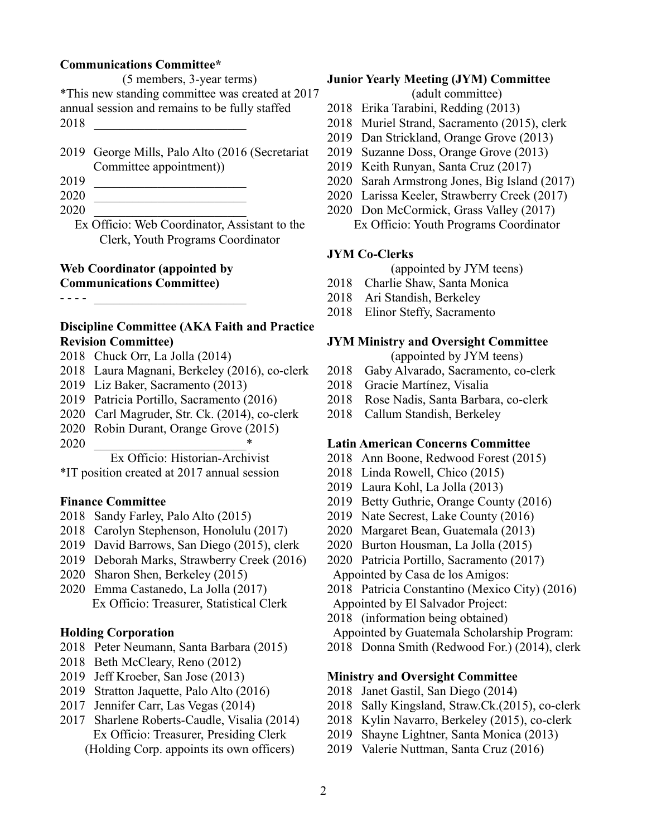## **Communications Committee\***

(5 members, 3-year terms) \*This new standing committee was created at 2017 annual session and remains to be fully staffed \_\_\_\_\_\_\_\_\_\_\_\_\_\_\_\_\_\_\_\_\_\_\_\_

- George Mills, Palo Alto (2016 (Secretariat Committee appointment))
- \_\_\_\_\_\_\_\_\_\_\_\_\_\_\_\_\_\_\_\_\_\_\_\_
- \_\_\_\_\_\_\_\_\_\_\_\_\_\_\_\_\_\_\_\_\_\_\_\_
- \_\_\_\_\_\_\_\_\_\_\_\_\_\_\_\_\_\_\_\_\_\_\_\_
	- Ex Officio: Web Coordinator, Assistant to the Clerk, Youth Programs Coordinator

### **Web Coordinator (appointed by Communications Committee)**

- - - - \_\_\_\_\_\_\_\_\_\_\_\_\_\_\_\_\_\_\_\_\_\_\_\_

## **Discipline Committee (AKA Faith and Practice Revision Committee)**

- Chuck Orr, La Jolla (2014)
- Laura Magnani, Berkeley (2016), co-clerk
- Liz Baker, Sacramento (2013)
- Patricia Portillo, Sacramento (2016)
- 2020 Carl Magruder, Str. Ck. (2014), co-clerk
- Robin Durant, Orange Grove (2015)
- \_\_\_\_\_\_\_\_\_\_\_\_\_\_\_\_\_\_\_\_\_\_\_\_\*

Ex Officio: Historian-Archivist \*IT position created at 2017 annual session

## **Finance Committee**

- Sandy Farley, Palo Alto (2015)
- Carolyn Stephenson, Honolulu (2017)
- David Barrows, San Diego (2015), clerk
- Deborah Marks, Strawberry Creek (2016)
- Sharon Shen, Berkeley (2015)
- Emma Castanedo, La Jolla (2017) Ex Officio: Treasurer, Statistical Clerk

## **Holding Corporation**

- Peter Neumann, Santa Barbara (2015)
- Beth McCleary, Reno (2012)
- Jeff Kroeber, San Jose (2013)
- Stratton Jaquette, Palo Alto (2016)
- 2017 Jennifer Carr, Las Vegas (2014)
- Sharlene Roberts-Caudle, Visalia (2014) Ex Officio: Treasurer, Presiding Clerk (Holding Corp. appoints its own officers)

#### **Junior Yearly Meeting (JYM) Committee**

(adult committee)

- Erika Tarabini, Redding (2013)
- Muriel Strand, Sacramento (2015), clerk
- Dan Strickland, Orange Grove (2013)
- Suzanne Doss, Orange Grove (2013)
- Keith Runyan, Santa Cruz (2017)
- Sarah Armstrong Jones, Big Island (2017)
- Larissa Keeler, Strawberry Creek (2017)
- Don McCormick, Grass Valley (2017) Ex Officio: Youth Programs Coordinator

## **JYM Co-Clerks**

(appointed by JYM teens)

- Charlie Shaw, Santa Monica
- Ari Standish, Berkeley
- Elinor Steffy, Sacramento

## **JYM Ministry and Oversight Committee**

(appointed by JYM teens)

- Gaby Alvarado, Sacramento, co-clerk
- Gracie Martínez, Visalia
- Rose Nadis, Santa Barbara, co-clerk
- Callum Standish, Berkeley

## **Latin American Concerns Committee**

- Ann Boone, Redwood Forest (2015)
- Linda Rowell, Chico (2015)
- Laura Kohl, La Jolla (2013)
- Betty Guthrie, Orange County (2016)
- Nate Secrest, Lake County (2016)
- Margaret Bean, Guatemala (2013)
- Burton Housman, La Jolla (2015)
- Patricia Portillo, Sacramento (2017) Appointed by Casa de los Amigos:
- Patricia Constantino (Mexico City) (2016) Appointed by El Salvador Project:
- (information being obtained)
- Appointed by Guatemala Scholarship Program:
- Donna Smith (Redwood For.) (2014), clerk

## **Ministry and Oversight Committee**

- Janet Gastil, San Diego (2014)
- Sally Kingsland, Straw.Ck.(2015), co-clerk
- Kylin Navarro, Berkeley (2015), co-clerk
- Shayne Lightner, Santa Monica (2013)
- Valerie Nuttman, Santa Cruz (2016)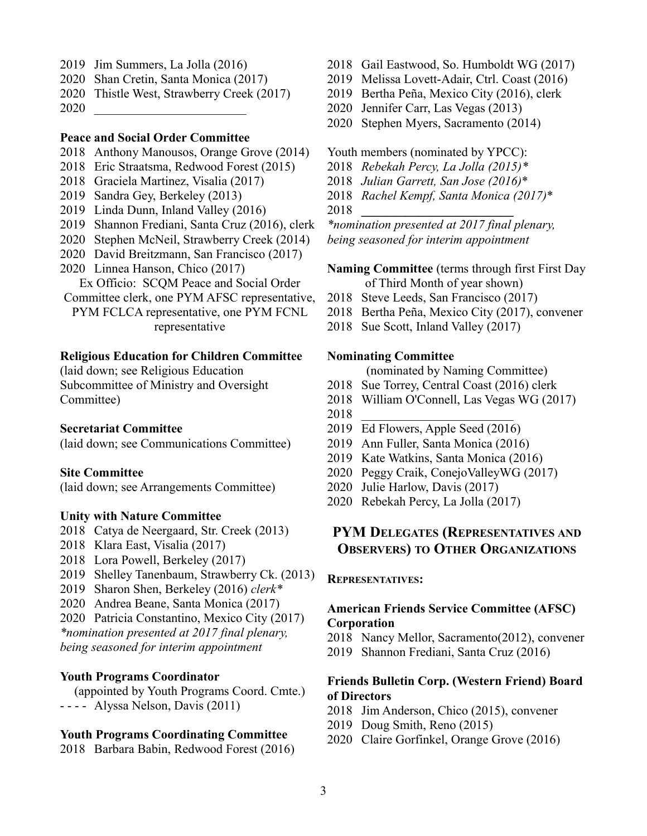- 2019 Jim Summers, La Jolla (2016)
- 2020 Shan Cretin, Santa Monica (2017)
- 2020 Thistle West, Strawberry Creek (2017)
- 2020 \_\_\_\_\_\_\_\_\_\_\_\_\_\_\_\_\_\_\_\_\_\_\_\_

#### **Peace and Social Order Committee**

- 2018 Anthony Manousos, Orange Grove (2014)
- 2018 Eric Straatsma, Redwood Forest (2015)
- 2018 Graciela Martinez, Visalia (2017)
- 2019 Sandra Gey, Berkeley (2013)
- 2019 Linda Dunn, Inland Valley (2016)
- 2019 Shannon Frediani, Santa Cruz (2016), clerk
- 2020 Stephen McNeil, Strawberry Creek (2014)
- 2020 David Breitzmann, San Francisco (2017)
- 2020 Linnea Hanson, Chico (2017)

Ex Officio: SCQM Peace and Social Order

Committee clerk, one PYM AFSC representative,

PYM FCLCA representative, one PYM FCNL representative

#### **Religious Education for Children Committee**

(laid down; see Religious Education Subcommittee of Ministry and Oversight Committee)

#### **Secretariat Committee**

(laid down; see Communications Committee)

### **Site Committee**

(laid down; see Arrangements Committee)

### **Unity with Nature Committee**

- 2018 Catya de Neergaard, Str. Creek (2013)
- 2018 Klara East, Visalia (2017)
- 2018 Lora Powell, Berkeley (2017)
- 2019 Shelley Tanenbaum, Strawberry Ck. (2013)
- 2019 Sharon Shen, Berkeley (2016) *clerk\**
- 2020 Andrea Beane, Santa Monica (2017)
- 2020 Patricia Constantino, Mexico City (2017)

*\*nomination presented at 2017 final plenary, being seasoned for interim appointment*

#### **Youth Programs Coordinator**

(appointed by Youth Programs Coord. Cmte.) - - - - Alyssa Nelson, Davis (2011)

#### **Youth Programs Coordinating Committee**

2018 Barbara Babin, Redwood Forest (2016)

- 2018 Gail Eastwood, So. Humboldt WG (2017)
- 2019 Melissa Lovett-Adair, Ctrl. Coast (2016)
- 2019 Bertha Peña, Mexico City (2016), clerk
- 2020 Jennifer Carr, Las Vegas (2013)
- 2020 Stephen Myers, Sacramento (2014)
- Youth members (nominated by YPCC):
- 2018 *Rebekah Percy, La Jolla (2015)\**
- 2018 *Julian Garrett, San Jose (2016)*\*
- 2018 *Rachel Kempf, Santa Monica (2017)*\*

2018 **\_\_\_\_\_\_\_\_\_\_\_\_\_\_\_\_\_\_\_\_\_\_\_\_**

*\*nomination presented at 2017 final plenary, being seasoned for interim appointment*

#### **Naming Committee** (terms through first First Day of Third Month of year shown)

- 2018 Steve Leeds, San Francisco (2017)
- 2018 Bertha Peña, Mexico City (2017), convener
- 2018 Sue Scott, Inland Valley (2017)

#### **Nominating Committee**

(nominated by Naming Committee)

- 2018 Sue Torrey, Central Coast (2016) clerk
- 2018 William O'Connell, Las Vegas WG (2017)
- 2018 \_\_\_\_\_\_\_\_\_\_\_\_\_\_\_\_\_\_\_\_\_\_\_\_
- 2019 Ed Flowers, Apple Seed (2016)
- 2019 Ann Fuller, Santa Monica (2016)
- 2019 Kate Watkins, Santa Monica (2016)
- 2020 Peggy Craik, ConejoValleyWG (2017)
- 2020 Julie Harlow, Davis (2017)
- 2020 Rebekah Percy, La Jolla (2017)

## **PYM DELEGATES (REPRESENTATIVES AND OBSERVERS) TO OTHER ORGANIZATIONS**

#### **REPRESENTATIVES:**

#### **American Friends Service Committee (AFSC) Corporation**

- 2018 Nancy Mellor, Sacramento(2012), convener
- 2019 Shannon Frediani, Santa Cruz (2016)

### **Friends Bulletin Corp. (Western Friend) Board of Directors**

- 2018 Jim Anderson, Chico (2015), convener
- 2019 Doug Smith, Reno (2015)
- 2020 Claire Gorfinkel, Orange Grove (2016)